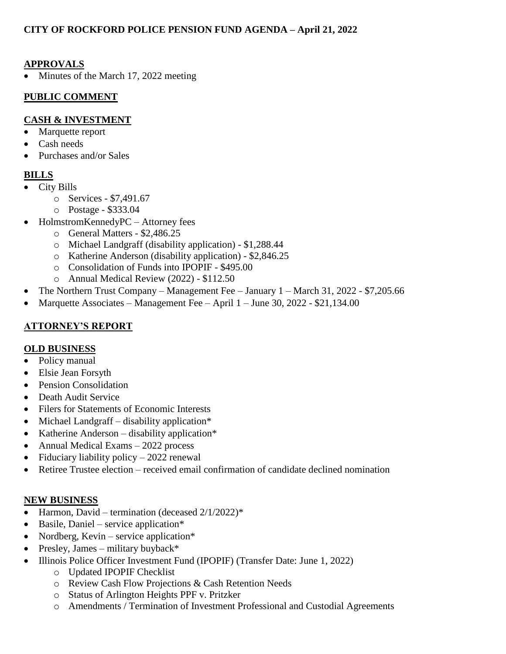# **APPROVALS**

Minutes of the March 17, 2022 meeting

#### **PUBLIC COMMENT**

#### **CASH & INVESTMENT**

- Marquette report
- Cash needs
- Purchases and/or Sales

# **BILLS**

- City Bills
	- o Services \$7,491.67
	- o Postage \$333.04
- HolmstromKennedyPC Attorney fees
	- o General Matters \$2,486.25
	- o Michael Landgraff (disability application) \$1,288.44
	- o Katherine Anderson (disability application) \$2,846.25
	- o Consolidation of Funds into IPOPIF \$495.00
	- o Annual Medical Review (2022) \$112.50
- The Northern Trust Company Management Fee January 1 March 31, 2022 \$7,205.66
- Marquette Associates Management Fee April  $1$  June 30, 2022 \$21,134.00

# **ATTORNEY'S REPORT**

## **OLD BUSINESS**

- Policy manual
- Elsie Jean Forsyth
- Pension Consolidation
- Death Audit Service
- Filers for Statements of Economic Interests
- $\bullet$  Michael Landgraff disability application\*
- Katherine Anderson disability application $*$
- Annual Medical Exams 2022 process
- Fiduciary liability policy  $-2022$  renewal
- Retiree Trustee election received email confirmation of candidate declined nomination

## **NEW BUSINESS**

- Harmon, David termination (deceased 2/1/2022)\*
- $\bullet$  Basile, Daniel service application\*
- Nordberg, Kevin service application\*
- Presley, James military buyback\*
- Illinois Police Officer Investment Fund (IPOPIF) (Transfer Date: June 1, 2022)
	- o Updated IPOPIF Checklist
	- o Review Cash Flow Projections & Cash Retention Needs
	- o Status of Arlington Heights PPF v. Pritzker
	- o Amendments / Termination of Investment Professional and Custodial Agreements